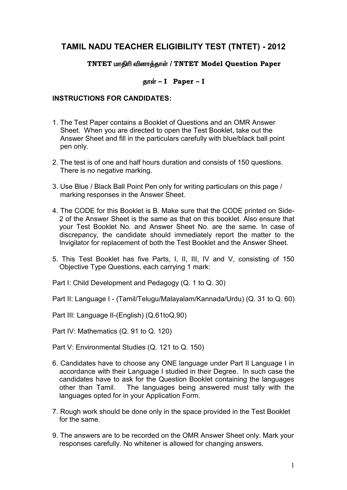# **TAMIL NADU TEACHER ELIGIBILITY TEST (TNTET) - 2012**

### **TNTET** மாதிரி வினாத்தாள் / **TNTET** Model Question Paper

## **jhŸ - I Paper – I**

### **INSTRUCTIONS FOR CANDIDATES:**

- 1. The Test Paper contains a Booklet of Questions and an OMR Answer Sheet. When you are directed to open the Test Booklet, take out the Answer Sheet and fill in the particulars carefully with blue/black ball point pen only.
- 2. The test is of one and half hours duration and consists of 150 questions. There is no negative marking.
- 3. Use Blue / Black Ball Point Pen only for writing particulars on this page / marking responses in the Answer Sheet.
- 4. The CODE for this Booklet is B. Make sure that the CODE printed on Side-2 of the Answer Sheet is the same as that on this booklet. Also ensure that your Test Booklet No. and Answer Sheet No. are the same. In case of discrepancy, the candidate should immediately report the matter to the Invigilator for replacement of both the Test Booklet and the Answer Sheet.
- 5. This Test Booklet has five Parts, I, II, III, IV and V, consisting of 150 Objective Type Questions, each carrying 1 mark:

Part I: Child Development and Pedagogy (Q. 1 to Q. 30)

Part II: Language I - (Tamil/Telugu/Malayalam/Kannada/Urdu) (Q. 31 to Q. 60)

Part III: Language II-(English) (Q.61toQ.90)

Part IV: Mathematics (Q. 91 to Q. 120)

Part V: Environmental Studies (Q. 121 to Q. 150)

- 6. Candidates have to choose any ONE language under Part II Language I in accordance with their Language I studied in their Degree. In such case the candidates have to ask for the Question Booklet containing the languages other than Tamil. The languages being answered must tally with the languages opted for in your Application Form.
- 7. Rough work should be done only in the space provided in the Test Booklet for the same.
- 9. The answers are to be recorded on the OMR Answer Sheet only. Mark your responses carefully. No whitener is allowed for changing answers.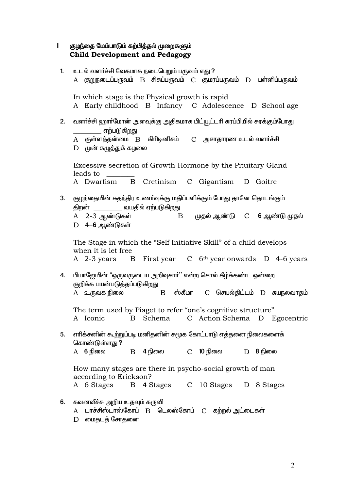|              | குழந்தை மேம்பாடும் கற்பித்தல் முறைகளும்<br><b>Child Development and Pedagogy</b>                                                                                                        |
|--------------|-----------------------------------------------------------------------------------------------------------------------------------------------------------------------------------------|
| $\mathbf{1}$ | உடல் வளர்ச்சி வேகமாக நடைபெறும் பருவம் எது ?                                                                                                                                             |
|              | A குறுநடைப்பருவம் B சிசுப்பருவம் C குமரப்பருவம் D பள்ளிப்பருவம்                                                                                                                         |
|              | In which stage is the Physical growth is rapid<br>A Early childhood B Infancy C Adolescence D School age                                                                                |
| 2.           | வளா்ச்சி ஹாா்மோன் அளவுக்கு அதிகமாக பிட்யூட்டாி சுரப்பியில் சுரக்கும்போது<br>_____ ஏற்படுகிறது                                                                                           |
|              | A குள்ளத்தன்மை B கிரிடினிசம்  C அசாதாரண உடல் வளர்ச்சி<br>$D$ முன் கழுத்துக் கழலை                                                                                                        |
|              | Excessive secretion of Growth Hormone by the Pituitary Gland<br>leads to                                                                                                                |
|              | A Dwarfism B Cretinism C Gigantism D Goitre                                                                                                                                             |
| 3.           | குழந்தையின் சுதந்திர உணா்வுக்கு மதிப்பளிக்கும் போது தானே தொடங்கும்<br>திறன் ____________ வயதில் ஏற்படுகிறது<br>B முதல் ஆண்டு C <b>6</b> ஆண்டு முதல்<br>A 2-3 ஆண்டுகள்<br>D 4-6 ஆண்டுகள் |
|              | The Stage in which the "Self Initiative Skill" of a child develops<br>when it is let free<br>A 2-3 years B First year C 6 <sup>th</sup> year onwards D 4-6 years                        |
| 4.           | பியாஜேயின் "ஒருவருடைய அறிவுசார்'' என்ற சொல் கீழ்க்கண்ட ஒன்றை<br>குறிக்க பயன்படுத்தப்படுகிறது<br>ஸ்கீமா<br>A    உருவக நிலை<br>C செயல்திட்டம் D சுயநலவாதம்<br>B                           |
|              | The term used by Piaget to refer "one's cognitive structure"                                                                                                                            |
|              | Schema<br>C Action Schema D Egocentric<br>A Iconic<br>$\mathbf{B}$                                                                                                                      |
| 5.           | எாிக்சனின் கூற்றுப்படி மனிதனின் சமூக கோட்பாடு எத்தனை நிலைகளைக்<br>கொண்டுள்ளது ?                                                                                                         |
|              | A <b>6</b> நிலை<br>$\overline{B}$ 4 நிலை $\overline{C}$ 10 நிலை $\overline{D}$ 8 நிலை                                                                                                   |
|              | How many stages are there in psycho-social growth of man<br>according to Erickson?                                                                                                      |
|              | A 6 Stages B 4 Stages C 10 Stages D 8 Stages                                                                                                                                            |
| 6.           | கவனவீச்சு அறிய உதவும் கருவி<br>A டாச்சிஸ்டாஸ்கோப் B டெலஸ்கோப் C கற்றல்அட்டைகள்<br>$\sigma$                                                                                              |

D மைதடத் சோதனை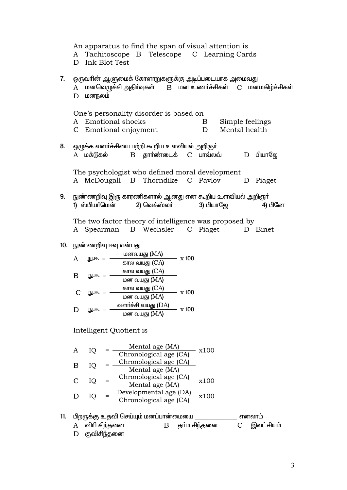|     | An apparatus to find the span of visual attention is<br>Tachitoscope B Telescope C Learning Cards<br>A<br>D Ink Blot Test                      |
|-----|------------------------------------------------------------------------------------------------------------------------------------------------|
| 7.  | ஒருவாின் ஆளுமைக் கோளாறுகளுக்கு அடிப்படையாக அமைவது<br>A மனவெழுச்சி அதிர்வுகள் B மன உணர்ச்சிகள் C மனமகிழ்ச்சிகள்<br>மனநலம்<br>D                  |
|     | One's personality disorder is based on<br>A Emotional shocks<br>Simple feelings<br>$\mathbf{B}$<br>C Emotional enjoyment<br>Mental health<br>D |
| 8.  | ஒழுக்க வளர்ச்சியை பற்றி கூறிய உளவியல் அறிஞர்<br>A மக்டூகல்    B தார்ண்டைக்  C பாவ்லவ்    D பியாஜே                                              |
|     | The psychologist who defined moral development<br>A McDougall B Thorndike C Pavlov<br>D Piaget                                                 |
| 9.  | நுண்ணறிவு இரு காரணிகளால் ஆனது என கூறிய உளவியல் அறிஞா்<br>1) ஸ்பியா்மென்<br>2) வெக்ஸ்லா்<br>3) பியாஜே<br>4) பினே                                |
|     | The two factor theory of intelligence was proposed by<br>A Spearman B Wechsler C Piaget D Binet                                                |
|     | 10. நுண்ணறிவு ஈவு என்பது                                                                                                                       |
|     | நு.ஈ. = $\frac{\text{norm of } (MA)}{\text{norm of } (CA)}$ x 100<br>A                                                                         |
|     |                                                                                                                                                |
|     | B                                                                                                                                              |
|     |                                                                                                                                                |
|     | $\mathcal{C}$                                                                                                                                  |
|     | D                                                                                                                                              |
|     | Intelligent Quotient is                                                                                                                        |
|     | $= \frac{\text{Mental age (MA)}}{\text{Chronological age (CA)}} \cdot x100$<br>IQ<br>A                                                         |
|     | $IQ = \frac{Chronological age (CA)}{Mental age (MA)}$<br>B                                                                                     |
|     | $IQ = \frac{Chronological age (CA)}{Mental age (MA)} x100$<br>$\mathsf{C}$                                                                     |
|     | $IQ = \frac{Developmental age (DA)}{Chronological age (CA)}$ x100<br>D                                                                         |
| 11. | பிறருக்கு உதவி செய்யும் மனப்பான்மையை ________________ எனலாம்                                                                                   |
|     | B தா்ம சிந்தனை C இலட்சியம்<br>விரி சிந்தனை<br>A                                                                                                |
|     | குவிசிந்தனை<br>D                                                                                                                               |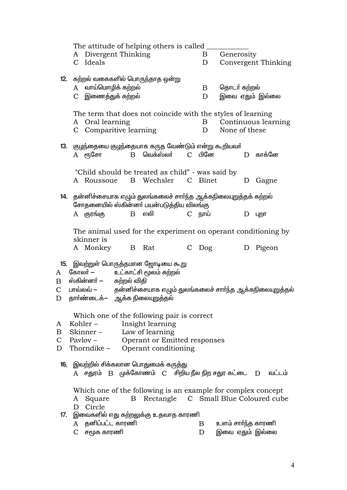|              | The attitude of helping others is called                                                               |               |              |                    |                     |
|--------------|--------------------------------------------------------------------------------------------------------|---------------|--------------|--------------------|---------------------|
|              | A Divergent Thinking                                                                                   |               | Β            | Generosity         |                     |
|              | C Ideals                                                                                               |               | D            |                    | Convergent Thinking |
|              |                                                                                                        |               |              |                    |                     |
|              | 12. கற்றல் வகைகளில் பொருந்தாத ஒன்று                                                                    |               |              |                    |                     |
|              | வாய்மொழிக் கற்றல்<br>A                                                                                 |               | Β            | தொடர் கற்றல்       |                     |
|              | C இணைத்துக் கற்றல்                                                                                     |               | D            | இவை ஏதும் இல்லை    |                     |
|              |                                                                                                        |               |              |                    |                     |
|              | The term that does not coincide with the styles of learning                                            |               |              |                    |                     |
|              | A Oral learning                                                                                        |               | $\mathbf{B}$ |                    | Continuous learning |
|              | C Comparitive learning                                                                                 |               | D            | None of these      |                     |
|              |                                                                                                        |               |              |                    |                     |
|              | 13. குழந்தையை குழந்தையாக கருத வேண்டும் என்று கூறியவா்                                                  |               |              |                    |                     |
|              | வெக்ஸ்லா்<br>$A$ ரூசோ<br>$\mathbf{B}$                                                                  |               | C பினே       |                    | D காக்னே            |
|              |                                                                                                        |               |              |                    |                     |
|              | "Child should be treated as child" - was said by<br>B Wechsler C Binet                                 |               |              |                    |                     |
|              | A Roussoue                                                                                             |               |              | D                  | Gagne               |
|              | 14. தன்னிச்சையாக எழும் துலங்கலைச் சார்ந்த ஆக்கநிலையுறுத்தக் கற்றல்                                     |               |              |                    |                     |
|              | சோதனையில் ஸ்கின்னா் பயன்படுத்திய விலங்கு                                                               |               |              |                    |                     |
|              | A குரங்கு<br>எலி<br>$\mathbf{B}$                                                                       |               | C நாய்       | D                  | Цற∏                 |
|              |                                                                                                        |               |              |                    |                     |
|              | The animal used for the experiment on operant conditioning by                                          |               |              |                    |                     |
|              | skinner is                                                                                             |               |              |                    |                     |
|              | A Monkey B Rat                                                                                         | $\mathcal{C}$ | Dog          | D                  | Pigeon              |
|              |                                                                                                        |               |              |                    |                     |
|              | 15. இவற்றுள் பொருத்தமான ஜோடியை கூறு                                                                    |               |              |                    |                     |
| A            | உட்காட்சி மூலம் கற்றல்<br>கோலா் —                                                                      |               |              |                    |                     |
| Β            | ஸ்கின்னா் — கற்றல் விதி                                                                                |               |              |                    |                     |
| $\mathsf{C}$ | பாவ்லவ் — தன்னிச்சையாக எழும் துலங்கலைச் சார்ந்த ஆக்கநிலையுறுத்தல்                                      |               |              |                    |                     |
| D            | தாா்ண்டைக்— ஆக்க நிலையுறுத்தல்                                                                         |               |              |                    |                     |
|              |                                                                                                        |               |              |                    |                     |
|              | Which one of the following pair is correct                                                             |               |              |                    |                     |
| A            | Insight learning<br>Kohler $-$                                                                         |               |              |                    |                     |
| $\mathbf{B}$ | Skinner - Law of learning                                                                              |               |              |                    |                     |
| $\mathsf{C}$ | Pavlov – Operant or Emitted responses                                                                  |               |              |                    |                     |
| D            | Thorndike – Operant conditioning                                                                       |               |              |                    |                     |
|              |                                                                                                        |               |              |                    |                     |
|              | <b>16.    இவற்றில் சிக்கலான பொதுமைக் கருத்து</b>                                                       |               |              |                    |                     |
|              | $A$ சதுரம் $B$ முக்கோணம் $C$ சிறிய நீல நிற சதுர கட்டை $D$ வட்டம்                                       |               |              |                    |                     |
|              |                                                                                                        |               |              |                    |                     |
|              | Which one of the following is an example for complex concept<br>B Rectangle C Small Blue Coloured cube |               |              |                    |                     |
|              | Square<br>A<br>Circle<br>D                                                                             |               |              |                    |                     |
| 17.          | இவைகளில் எது கற்றலுக்கு உதவாத காரணி                                                                    |               |              |                    |                     |
|              | தனிப்பட்ட காரணி<br>A                                                                                   |               | $\mathbf{B}$ | உளம் சார்ந்த காரணி |                     |
|              | C சமூக காரணி                                                                                           |               | D            | இவை ஏதும் இல்லை    |                     |
|              |                                                                                                        |               |              |                    |                     |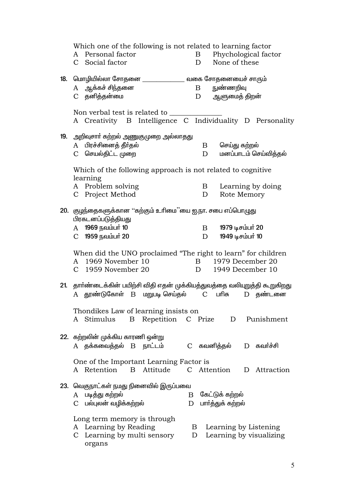Which one of the following is not related to learning factor A Personal factor Phychological factor  $\mathbf{B}$ C Social factor None of these  $\mathbf{D}$  $A$  ஆக்கச் சிந்தனை  $\mathbf{B}$ நுண்ணறிவு C தனித்தன்மை  $D$ ஆளுமைத் திறன் Non verbal test is related to A Creativity B Intelligence C Individuality D Personality 19. அறிவுசார் கற்றல் அணுகுமுறை அல்லாதது A பிரச்சினைக் கீர்கல்  $\mathbf{B}$ செய்து கற்றல் C செயல்திட்ட முறை மனப்பாடம் செய்வித்தல்  $\mathbf{D}$ Which of the following approach is not related to cognitive learning A Problem solving  $\mathbf{B}$ Learning by doing D C Project Method Rote Memory 20. குழந்தைகளுக்கான ''கற்கும் உரிமை''யை ஐ.நா. சபை எப்பொழுது பிரகடனப்படுத்தியது A 1969 நவம்பர் 10 1979 டிசம்பர் 20  $\mathbf{B}$ C 1959 நவம்பர் 20 1949 டிசம்பர் 10 D When did the UNO proclaimed "The right to learn" for children A 1969 November 10 B 1979 December 20  $C$  1959 November 20  $D$ 1949 December 10 21. தார்ண்டைக்கின் பயிற்சி விதி எதன் முக்கியத்துவத்தை வலியுறுத்தி கூறுகிறது A தூண்டுகோள் B மறுபடி செய்தல் C பரிசு D கண்டனை Thondikes Law of learning insists on A Stimulus B Repetition C Prize D Punishment 22. கற்றலின் முக்கிய காரணி ஒன்று A தக்கவைத்தல் B நாட்டம் C கவனித்தல் D கவர்ச்சி One of the Important Learning Factor is A Retention B Attitude C Attention D Attraction 23. வெகுநாட்கள் நமது நினைவில் இருப்பவை A படித்து கற்றல்  $B$  கேட்டுக் கற்றல் C பல்புலன் வழிக்கற்றல்  $D$  பார்த்துக் கற்றல் Long term memory is through A Learning by Reading B Learning by Listening D Learning by visualizing C Learning by multi sensory organs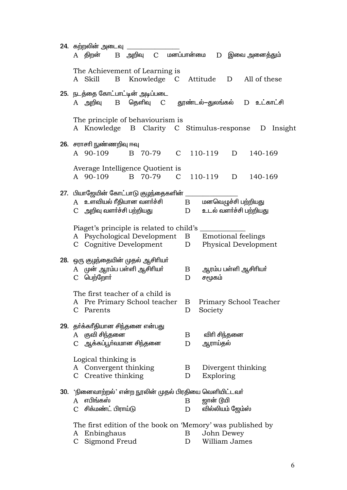| 24.  கற்றலின் அடைவு                                                                          |
|----------------------------------------------------------------------------------------------|
| A திறன்<br>B அறிவு C மனப்பான்மை<br>D இவை அனைத்தும்                                           |
| The Achievement of Learning is                                                               |
| Knowledge C Attitude<br>All of these<br>A Skill<br>B<br>D                                    |
| 25. நடத்தை கோட்பாட்டின் அடிப்படை                                                             |
| A அறிவு  B தெளிவு  C  தூண்டல்–துலங்கல்  D உட்காட்சி                                          |
| The principle of behaviourism is                                                             |
| A Knowledge B Clarity C Stimulus-response D Insight                                          |
| 26. சராசரி நுண்ணறிவு ஈவு                                                                     |
| C 110-119<br>A 90-109<br>B 70-79<br>140-169<br>D                                             |
| Average Intelligence Quotient is                                                             |
| B 70-79<br>110-119<br>A 90-109<br>$\mathbf{C}$<br>140-169<br>D                               |
| 27. பியாஜேயின் கோட்பாடு குழந்தைகளின்                                                         |
| A உளவியல் ரீதியான வளா்ச்சி<br>மனவெழுச்சி பற்றியது<br>$\mathbf{B}$                            |
| C அறிவு வளர்ச்சி பற்றியது<br>உடல் வளர்ச்சி பற்றியது<br>D                                     |
| Piaget's principle is related to child's _                                                   |
| A Psychological Development<br><b>Emotional feelings</b><br>B                                |
| C Cognitive Development<br>Physical Development<br>D                                         |
| 28. ஒரு குழந்தையின் முதல் ஆசிரியா்                                                           |
| A முன் ஆரம்ப பள்ளி ஆசிரியர்<br>ஆரம்ப பள்ளி ஆசிரியா்<br>B                                     |
| <b>C</b> பெற்றோா்<br>சமூகம்<br>D                                                             |
| The first teacher of a child is                                                              |
| A Pre Primary School teacher<br>Primary School Teacher<br>Β                                  |
| C<br>Parents<br>D<br>Society                                                                 |
| 29. தாக்காீதியான சிந்தனை என்பது                                                              |
| A குவி சிந்தனை<br>விரி சிந்தனை<br>B                                                          |
| C ஆக்கப்பூா்வமான சிந்தனை<br>ஆராய்தல்<br>D                                                    |
| Logical thinking is                                                                          |
| Convergent thinking<br>Divergent thinking<br>B<br>A<br>C Creative thinking<br>Exploring<br>D |
|                                                                                              |
| 30. 'நினைவாற்றல்' என்ற நூலின் முதல் பிரதியை வெளியிட்டவா்                                     |
| எபிங்கஸ்<br>ஜான் டூயி<br>B<br>A                                                              |
| சிக்மண்ட் பிராய்டு<br>வில்லியம் ஜேம்ஸ்<br>$\mathcal{C}$<br>D                                 |
| The first edition of the book on 'Memory' was published by                                   |
| Enbinghaus<br>John Dewey<br>B<br>A                                                           |
| William James<br>Sigmond Freud<br>$\mathbf{C}$<br>D                                          |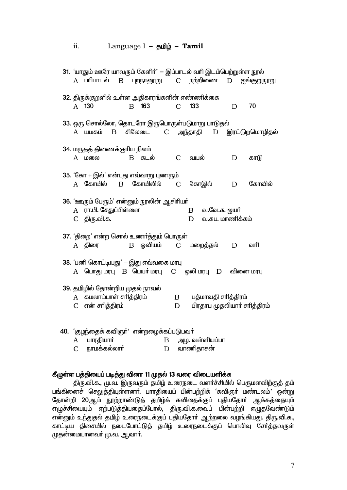#### $ii.$ Language  $I - \underline{\mathbf{g}}$

| 31. 'யாதும் ஊரே யாவரும் கேளிா்' — இப்பாடல் வாி இடம்பெற்றுள்ள நூல்                                |        |                   |                                                    |             |             |  |
|--------------------------------------------------------------------------------------------------|--------|-------------------|----------------------------------------------------|-------------|-------------|--|
| A பாிபாடல் B புறநானூறு  C நற்றிணை                                                                |        |                   |                                                    | D           | ஐங்குறுநூறு |  |
| 32. திருக்குறளில் உள்ள அதிகாரங்களின் எண்ணிக்கை<br>163<br>A 130<br>$\mathbf{B}$                   |        | $\mathcal{C}$     | 133                                                | D           | 70          |  |
| 33. ஒரு சொல்லோ, தொடரோ இருபொருள்படுமாறு பாடுதல்<br>A யமகம் B சிலேடை  C அந்தாதி  D இரட்டுறமொழிதல்  |        |                   |                                                    |             |             |  |
| 34. மருதத் திணைக்குரிய நிலம்<br><b>B</b> கடல்<br>A மலை                                           |        | $\mathcal{C}$     | வயல்                                               | $\mathbf D$ | காடு        |  |
| 35. 'கோ + இல்' என்பது எவ்வாறு புணரும்<br>கோயிலில்<br>$A$ கோயில்<br>$\mathbf B$                   |        | $\mathcal{C}$     | கோஇல்                                              | D           | கோவில்      |  |
| 36. 'ஊரும் பேரும்' என்னும் நூலின் ஆசிரியா்<br>ரா.பி. சேதுப்பிள்ளை<br>A<br>C திரு.வி.க.           |        |                   | வ.வே.சு. ஐயா்<br>B<br>வ.சுப. மாணிக்கம்<br>D        |             |             |  |
| 37. 'திறை' என்ற சொல் உணர்த்தும் பொருள்<br>ஒவியம்<br>A திரை<br>$\boldsymbol{B}$                   |        |                   | C மறைத்தல்                                         | D           | வரி         |  |
| 38. 'பனி கொட்டியது' — இது எவ்வகை மரபு<br>$A$ பொது மரபு $B$ பெயா் மரபு $C$ ஒலி மரபு $D$ வினை மரபு |        |                   |                                                    |             |             |  |
| 39. தமிழில் தோன்றிய முதல் நாவல்<br>A கமலாம்பாள் சரித்திரம்<br>என் சாித்திரம்<br>$\mathcal{C}$    |        | $\mathbf{B}$<br>D | பத்மாவதி சரித்திரம்<br>பிரதாப முதலியார் சரித்திரம் |             |             |  |
| 40. 'குழந்தைக் கவிஞா்' என்றழைக்கப்படுபவா்<br>பாரதியார்<br>A<br>நாமக்கல்லார்<br>$\overline{C}$    | B<br>D |                   | அழ. வள்ளியப்பா<br>வாணிதாசன்                        |             |             |  |

## கீழுள்ள பத்தியைப் படித்து வினா 11 முதல் 13 வரை விடையளிக்க

திரு.வி.க., மு.வ. இருவரும் தமிழ் உரைநடை வளா்ச்சியில் பெருமளவிற்குத் தம் பங்கினைச் செலுத்தியுள்ளனா். பாரதியைப் பின்பற்றிக் 'கவிஞா் மண்டலம்' ஒன்று தோன்றி 20ஆம் நூற்றாண்டுத் தமிழ்க் கவிதைக்குப் புதியதோர் ஆக்கத்தையும் எழுச்சியையும் ஏற்படுத்தியதைப்போல், திரு.வி.க.வைப் பின்பற்றி எழுதவேண்டும் என்னும் உந்துதல் தமிழ் உரைநடைக்குப் புதியதோா் ஆற்றலை வழங்கியது. திரு.வி.க., காட்டிய திசையில் நடைபோட்டுத் தமிழ் உரைநடைக்குப் பொலிவு சேர்த்தவருள் முதன்மையானவா் மு.வ. ஆவாா்.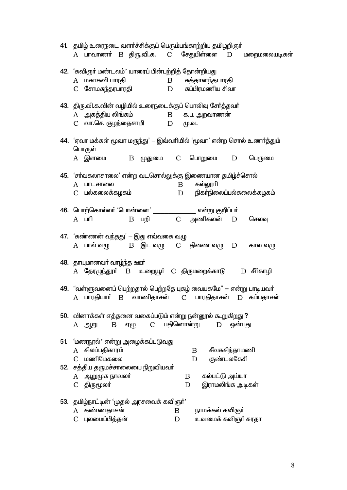|     | 41. தமிழ் உரைநடை வளர்ச்சிக்குப் பெரும்பங்காற்றிய தமிழறிஞர்<br>A பாவாணா் B திரு.வி.க.  C சேதுபிள்ளை  D  மறைமலையடிகள்                                |
|-----|----------------------------------------------------------------------------------------------------------------------------------------------------|
|     | 42. 'கவிஞா் மண்டலம்' யாரைப் பின்பற்றித் தோன்றியது<br>A மகாகவி பாரதி<br>B சுத்தானந்தபாரதி<br>C சோமசுந்தரபாரதி<br>சுப்பிரமணிய சிவா<br>D              |
|     | 43. திரு.வி.க.வின் வழியில் உரைநடைக்குப் பொலிவு சேர்த்தவர்<br>A அகத்திய லிங்கம்<br>B க.ப. அறவாணன்<br>C    வா.செ. குழந்தைசாமி<br>மு.வ.<br>D          |
|     | 44. 'ஏவா மக்கள் மூவா மருந்து' — இவ்வாியில் 'மூவா' என்ற சொல் உணா்த்தும்<br>பொருள்                                                                   |
|     | A இளமை<br>B முதுமை C பொறுமை<br>பெருமை<br>D                                                                                                         |
|     | 45. 'சா்வகலாசாலை' என்ற வடசொல்லுக்கு இணையான தமிழ்ச்சொல்<br>கல்லூரி<br>A பாடசாலை<br>$\mathbf{B}$<br>நிகா்நிலைப்பல்கலைக்கழகம்<br>C பல்கலைக்கழகம்<br>D |
|     | 46. பொற்கொல்லா் 'பொன்னை' ________________ என்று குறிப்பா்<br>B பறி         C    அணிகலன்<br>$A$ $\Box$ m $\Box$<br>D<br>செலவு                       |
|     | 47. 'கண்ணன் வந்தது' – இது எவ்வகை வழு<br>A பால் வமு<br>$B$ இட வழு $C$ திணை வழு $D$<br>கால வழு                                                       |
|     | 48. தாயுமானவர் வாழ்ந்த ஊர்<br>A தோழுந்தூா் B உறையூா் C திருமறைக்காடு   D சீா்காழி                                                                  |
|     | 49. "வள்ளுவனைப் பெற்றதால் பெற்றதே புகழ் வையகமே" — என்று பாடியவா்<br>A பாரதியாா் B வாணிதாசன்<br>பாரதிதாசன்<br>$\mathbf C$<br>$D$ கம்பதாசன்          |
|     | 50. வினாக்கள் எத்தனை வகைப்படும் என்று நன்னூல் கூறுகிறது ?<br>C பதினொன்று<br>ஒன்பது<br>B<br>ஏழு<br>D<br>A ஆறு                                       |
| 51. | 'மணநூல்' என்று அழைக்கப்படுவது<br>A சிலப்பதிகாரம்<br>சீவகசிந்தாமணி<br>$\mathbf{B}$                                                                  |
|     | C மணிமேகலை<br>குண்டலகேசி<br>D<br>52. சத்திய தருமச்சாலையை நிறுவியவா்                                                                                |
|     | A ஆறுமுக நாவலா்<br>கல்பட்டு அய்யா<br>$\mathbf{B}$<br>இராமலிங்க அடிகள்<br>C திருமூலா்<br>D                                                          |
|     | 53. தமிழ்நாட்டின் 'முதல் அரசவைக் கவிஞர்'                                                                                                           |
|     | கண்ணதாசன்<br>நாமக்கல் கவிஞர்<br>A<br>B                                                                                                             |
|     | புலமைப்பித்தன்<br>உவமைக் கவிஞா் சுரதா<br>$\overline{C}$<br>D                                                                                       |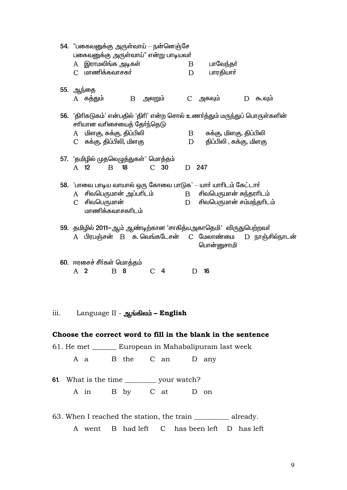|                             |                    | 54. "பகைவனுக்கு அருள்வாய் — நன்னெஞ்சே<br>பகைவனுக்கு அருள்வாய்" என்று பாடியவா்<br>A இராமலிங்க அடிகள் |              |    |               |                 |   | B | பாவேந்தா்                                                                                              |   |                                                                             |  |
|-----------------------------|--------------------|-----------------------------------------------------------------------------------------------------|--------------|----|---------------|-----------------|---|---|--------------------------------------------------------------------------------------------------------|---|-----------------------------------------------------------------------------|--|
|                             |                    | C மாணிக்கவாசகர்                                                                                     |              |    |               |                 |   | D | பாரதியார்                                                                                              |   |                                                                             |  |
|                             |                    | 55. ஆந்தை<br>A கத்தும்                                                                              |              |    | $B$ அலறும்    |                 |   |   | C அகவும்                                                                                               | D | ௬வும்                                                                       |  |
|                             |                    |                                                                                                     |              |    |               |                 |   |   |                                                                                                        |   |                                                                             |  |
|                             |                    | சாியான வாிசையைத் தேர்ந்தெடு                                                                         |              |    |               |                 |   |   |                                                                                                        |   | 56. 'திாிகடுகம்' என்பதில் 'திாி' என்ற சொல் உணா்த்தும் மருந்துப் பொருள்களின் |  |
|                             |                    | A மிளகு, சுக்கு, திப்பிலி<br>C சுக்கு, திப்பிலி, மிளகு                                              |              |    |               |                 |   | D | B சுக்கு, மிளகு, திப்பிலி<br>திப்பிலி , சுக்கு, மிளகு                                                  |   |                                                                             |  |
|                             |                    | 57. 'தமிழில் முதலெழுத்துகள்' மொத்தம்                                                                |              |    |               |                 |   |   |                                                                                                        |   |                                                                             |  |
|                             |                    | A 12                                                                                                | $\mathbf{B}$ | 18 |               | C <sub>30</sub> |   |   | D 247                                                                                                  |   |                                                                             |  |
|                             |                    |                                                                                                     |              |    |               |                 |   |   | 58. 'பாவை பாடிய வாயால் ஒரு கோவை பாடுக' — யாா் யாாிடம் கேட்டாா்                                         |   |                                                                             |  |
|                             | A<br>$\mathcal{C}$ | சிவபெருமான்                                                                                         |              |    |               |                 | D |   | சிவபெருமான் அப்பரிடம்                B      சிவபெருமான் சுந்தரரிடம்<br>சிவபெருமான் சம்மந்தரிடம்        |   |                                                                             |  |
|                             |                    | மாணிக்கவாசகரிடம்                                                                                    |              |    |               |                 |   |   |                                                                                                        |   |                                                                             |  |
|                             |                    |                                                                                                     |              |    |               |                 |   |   | 59. தமிழில் 2011-ஆம் ஆண்டிற்கான 'சாகித்யஅகாதெமி' விருதுபெற்றவா்                                        |   |                                                                             |  |
|                             |                    |                                                                                                     |              |    |               |                 |   |   | A பிரபஞ்சன் B சு. வெங்கடேசன் C மேலாண்மை<br>பொன்னுசாமி                                                  |   | D நாஞ்சில்நாடன்                                                             |  |
|                             |                    | 60. ஈரசைச் சீர்கள் மொத்தம்                                                                          |              |    |               |                 |   |   |                                                                                                        |   |                                                                             |  |
|                             | A <sub>2</sub>     |                                                                                                     | B            | 8  | $\mathcal{C}$ | $\overline{4}$  |   | D | 16                                                                                                     |   |                                                                             |  |
|                             |                    |                                                                                                     |              |    |               |                 |   |   |                                                                                                        |   |                                                                             |  |
| $\overline{\mathbf{iii}}$ . |                    |                                                                                                     |              |    |               |                 |   |   |                                                                                                        |   |                                                                             |  |
|                             |                    | Language II - ஆங்கிலம் – English                                                                    |              |    |               |                 |   |   |                                                                                                        |   |                                                                             |  |
|                             |                    |                                                                                                     |              |    |               |                 |   |   | Choose the correct word to fill in the blank in the sentence                                           |   |                                                                             |  |
|                             |                    |                                                                                                     |              |    |               |                 |   |   | 61. He met _________ European in Mahabalipuram last week                                               |   |                                                                             |  |
|                             |                    | A a B the C an D any                                                                                |              |    |               |                 |   |   |                                                                                                        |   |                                                                             |  |
| 61.                         |                    | What is the time ___________ your watch?                                                            |              |    |               |                 |   |   |                                                                                                        |   |                                                                             |  |
|                             |                    | A in B by C at D on                                                                                 |              |    |               |                 |   |   |                                                                                                        |   |                                                                             |  |
|                             |                    |                                                                                                     |              |    |               |                 |   |   |                                                                                                        |   |                                                                             |  |
|                             |                    | A went                                                                                              | B            |    |               |                 |   |   | 63. When I reached the station, the train ____________ already.<br>had left C has been left D has left |   |                                                                             |  |
|                             |                    |                                                                                                     |              |    |               |                 |   |   |                                                                                                        |   |                                                                             |  |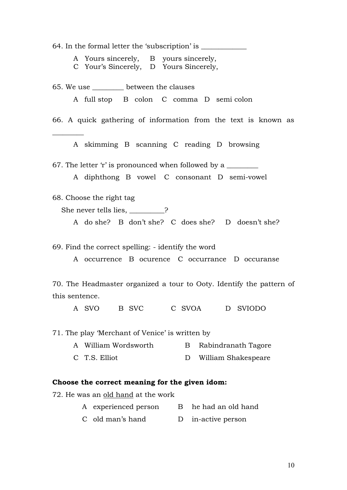64. In the formal letter the 'subscription' is \_\_\_\_\_\_\_\_\_\_\_\_\_\_\_\_\_\_\_\_\_\_\_\_\_\_\_\_\_\_\_\_\_

A Yours sincerely, B yours sincerely,

C Your's Sincerely, D Yours Sincerely,

65. We use \_\_\_\_\_\_\_\_\_ between the clauses A full stop B colon C comma D semi colon 66. A quick gathering of information from the text is known as  $\overline{\phantom{a}}$ A skimming B scanning C reading D browsing 67. The letter 'r' is pronounced when followed by a A diphthong B vowel C consonant D semi-vowel 68. Choose the right tag She never tells lies, 2

A do she? B don't she? C does she? D doesn't she?

69. Find the correct spelling: - identify the word

A occurrence B ocurence C occurrance D occuranse

70. The Headmaster organized a tour to Ooty. Identify the pattern of this sentence.

A SVO B SVC C SVOA D SVIODO

71. The play 'Merchant of Venice' is written by

- A William Wordsworth B Rabindranath Tagore
- C T.S. Elliot D William Shakespeare

### **Choose the correct meaning for the given idom:**

72. He was an old hand at the work

- A experienced person B he had an old hand
- C old man's hand D in-active person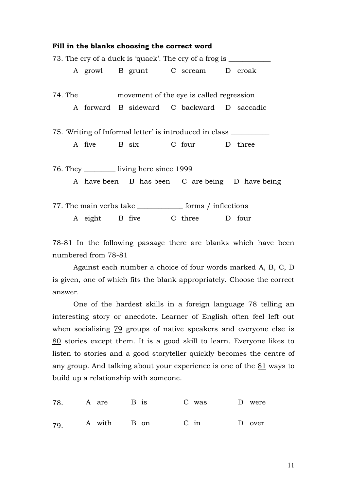|  |  | Fill in the blanks choosing the correct word |                                                                                  |                                                 |
|--|--|----------------------------------------------|----------------------------------------------------------------------------------|-------------------------------------------------|
|  |  |                                              | 73. The cry of a duck is 'quack'. The cry of a frog is _________________________ |                                                 |
|  |  |                                              | A growl B grunt C scream D croak                                                 |                                                 |
|  |  |                                              | 74. The ___________ movement of the eye is called regression                     |                                                 |
|  |  |                                              | A forward B sideward C backward D saccadic                                       |                                                 |
|  |  |                                              | 75. Writing of Informal letter' is introduced in class ____________________      |                                                 |
|  |  |                                              | A five B six C four D three                                                      |                                                 |
|  |  | 76. They ___________ living here since 1999  |                                                                                  |                                                 |
|  |  |                                              |                                                                                  | A have been B has been C are being D have being |
|  |  |                                              | 77. The main verbs take ___________________ forms / inflections                  |                                                 |
|  |  |                                              | A eight B five C three D four                                                    |                                                 |

78-81 In the following passage there are blanks which have been numbered from 78-81

Against each number a choice of four words marked A, B, C, D is given, one of which fits the blank appropriately. Choose the correct answer.

One of the hardest skills in a foreign language 78 telling an interesting story or anecdote. Learner of English often feel left out when socialising 79 groups of native speakers and everyone else is 80 stories except them. It is a good skill to learn. Everyone likes to listen to stories and a good storyteller quickly becomes the centre of any group. And talking about your experience is one of the 81 ways to build up a relationship with someone.

|  |  |  | 78. A are B is C was D were |  |
|--|--|--|-----------------------------|--|
|  |  |  | 79. A with B on C in D over |  |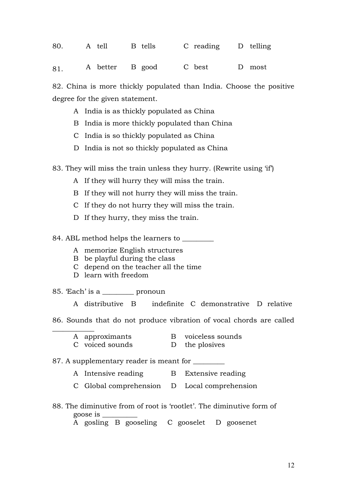|  | 80. A tell B tells C reading D telling |  |
|--|----------------------------------------|--|
|  | 81. A better B good C best D most      |  |

82. China is more thickly populated than India. Choose the positive degree for the given statement.

- A India is as thickly populated as China
- B India is more thickly populated than China
- C India is so thickly populated as China
- D India is not so thickly populated as China

83. They will miss the train unless they hurry. (Rewrite using 'if')

- A If they will hurry they will miss the train.
- B If they will not hurry they will miss the train.
- C If they do not hurry they will miss the train.
- D If they hurry, they miss the train.

84. ABL method helps the learners to \_\_\_\_\_\_\_\_\_

- A memorize English structures
- B be playful during the class
- C depend on the teacher all the time
- D learn with freedom

85. 'Each' is a \_\_\_\_\_\_\_\_\_ pronoun

 $\overline{\phantom{a}}$ 

A distributive B indefinite C demonstrative D relative

- 86. Sounds that do not produce vibration of vocal chords are called
	- A approximants B voiceless sounds
	- C voiced sounds D the plosives

87. A supplementary reader is meant for

- A Intensive reading B Extensive reading
- C Global comprehension D Local comprehension
- 88. The diminutive from of root is 'rootlet'. The diminutive form of goose is \_\_\_\_\_\_\_\_\_\_

A gosling B gooseling C gooselet D goosenet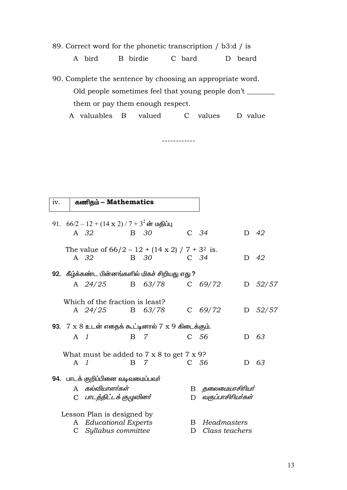89. Correct word for the phonetic transcription / b3:d / is

B birdie C bard D beard A bird

90. Complete the sentence by choosing an appropriate word. Old people sometimes feel that young people don't \_\_\_\_\_\_\_ them or pay them enough respect.

A valuables B valued C values D value

\_\_\_\_\_\_\_\_\_\_\_\_

கணிதம் - Mathematics iv. 91.  $66/2 - 12 + (14 \times 2) / 7 + 3^2$ ன் மதிப்பு A 32  $B$  30  $C$  34  $D$  42 The value of  $66/2 - 12 + (14 \times 2) / 7 + 3^2$  is. **B** 30 D 42 A 32  $C$  34 92. கீழ்க்கண்ட பின்னங்களில் மிகச் சிறியது எது ? A 24/25 63/78  $C$  69/72  $D$  52/57  $\overline{B}$ Which of the fraction is least? A 24/25 B 63/78  $C$  69/72  $D$   $52/57$ 93.  $7 \times 8$  உடன் எதைக் கூட்டினால்  $7 \times 9$  கிடைக்கும்.  $\mathbf{B}$  $\overline{7}$  $A \quad 1$ C 56  $D$  6.3 What must be added to  $7 \times 8$  to get  $7 \times 9$ ?  $\overline{B}$ C 56 D 63  $A \quad 1$ - 7 94. பாடக் குறிப்பினை வடிவமைப்பவர் A கல்வியாளர்கள் В தலைமையாசிரியர் C பாடத்திட்டக் குழுவினர் D *வகுப்பாசிரியர்கள்* Lesson Plan is designed by A Educational Experts **B** Headmasters C Syllabus committee D Class teachers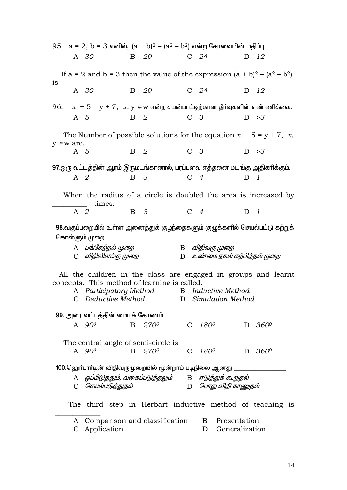|           |                |                    |            |                                              |                |                | 95. $a = 2$ , $b = 3$ எனில், $(a + b)^2 - (a^2 - b^2)$ என்ற கோவையின் மதிப்பு      |                |               |  |
|-----------|----------------|--------------------|------------|----------------------------------------------|----------------|----------------|-----------------------------------------------------------------------------------|----------------|---------------|--|
|           |                | A 30               |            | B 20                                         |                | C $24$         |                                                                                   |                | D 12          |  |
| <i>is</i> |                |                    |            |                                              |                |                | If $a = 2$ and $b = 3$ then the value of the expression $(a + b)^2 - (a^2 - b^2)$ |                |               |  |
|           |                | A 30               |            | B 20                                         | $C$ 24         |                |                                                                                   |                | D 12          |  |
|           |                |                    |            |                                              |                |                | 96. $x + 5 = y + 7$ , $x, y \in w$ என்ற சமன்பாட்டிற்கான தீர்வுகளின் எண்ணிக்கை.    |                |               |  |
|           | A 5            |                    | B 2        |                                              |                | C <sub>3</sub> |                                                                                   |                | D > 3         |  |
|           | $y \in w$ are. |                    |            |                                              |                |                | The Number of possible solutions for the equation $x + 5 = y + 7$ , x,            |                |               |  |
|           | A 5            |                    | <b>B</b> 2 |                                              | C <sub>3</sub> |                |                                                                                   |                | D > 3         |  |
|           |                |                    |            |                                              |                |                | 97.ஒரு வட்டத்தின் ஆரம் இருமடங்கானால், பரப்பளவு எத்தனை மடங்கு அதிகரிக்கும்.        |                |               |  |
|           | A 2            |                    |            | $\begin{array}{ccc} B & 3 \end{array}$       |                | $C \quad 4$    |                                                                                   | D <sub>1</sub> |               |  |
|           |                | times.             |            |                                              |                |                | When the radius of a circle is doubled the area is increased by                   |                |               |  |
|           | $A \quad 2$    |                    | <b>B</b> 3 |                                              | $C \quad 4$    |                |                                                                                   | $D$ 1          |               |  |
|           |                |                    |            |                                              |                |                | 98.வகுப்பறையில் உள்ள அனைத்துக் குழந்தைகளும் குழுக்களில் செயல்பட்டு கற்றுக்        |                |               |  |
|           |                | கொள்ளும் முறை      |            |                                              |                |                |                                                                                   |                |               |  |
|           |                | A பங்கேற்றல் முறை  |            |                                              |                |                | B விதிவரு முறை                                                                    |                |               |  |
|           |                | C விதிவிளக்கு முறை |            |                                              |                |                | D உண்மை நகல் கற்பித்தல் முறை                                                      |                |               |  |
|           |                |                    |            |                                              |                |                | All the children in the class are engaged in groups and learnt                    |                |               |  |
|           |                |                    |            | concepts. This method of learning is called. |                |                | A Participatory Method B Inductive Method                                         |                |               |  |
|           |                |                    |            | C Deductive Method                           |                |                | D Simulation Method                                                               |                |               |  |
|           |                |                    |            | 99. அரை வட்டத்தின் மையக் கோணம்               |                |                |                                                                                   |                |               |  |
|           |                | A $90^\circ$       | B.         | <b>270<sup>0</sup></b>                       |                |                | C $180^0$ D $360^0$                                                               |                |               |  |
|           |                |                    |            | The central angle of semi-circle is          |                |                |                                                                                   |                |               |  |
|           |                | A 90 <sup>0</sup>  | B          | 2700                                         | C              | $180^o$        |                                                                                   | D              | $360^{\circ}$ |  |
|           |                |                    |            |                                              |                |                | 100.ஹொ்பாா்டின் விதிவருமுறையில் மூன்றாம் படிநிலை ஆனது _______                     |                |               |  |
|           |                |                    |            |                                              |                |                | A ஒப்பிடுதலும், வகைப்படுத்தலும்        B   எடுத்துக் கூறுதல்                      |                |               |  |
|           |                | C செயல்படுத்துதல்  |            |                                              |                |                | D <i>பொது விதி காணுதல்</i>                                                        |                |               |  |
|           |                |                    |            |                                              |                |                | The third step in Herbart inductive method of teaching is                         |                |               |  |
|           | A              |                    |            | Comparison and classification                |                |                | Presentation<br>$\mathbf{B}$                                                      |                |               |  |
|           | $\mathbf{C}$   | Application        |            |                                              |                | D              | Generalization                                                                    |                |               |  |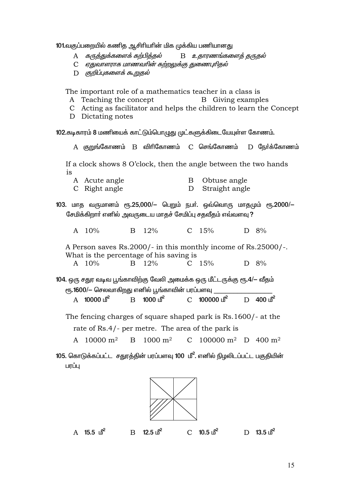101.வகுப்பறையில் கணித ஆசிரியரின் மிக முக்கிய பணியானது

- $\mathbf{A}$ கருத்துக்களைக் கற்பித்தல் B உதாரணங்களைத் தருதல்
- C எதுவாளராக மாணவரின் கற்றலுக்கு துணைபுரிதல்
- D குறிப்புகளைக் கூறுதல்

The important role of a mathematics teacher in a class is

- A Teaching the concept **B** Giving examples
- C Acting as facilitator and helps the children to learn the Concept
- D Dictating notes

102.கடிகாரம் 8 மணியைக் காட்டும்பொழுது முட்களுக்கிடையேயுள்ள கோணம்.

A குறுங்கோணம் B விரிகோணம் C செங்கோணம்  $D$  கூர்க்கோணம் If a clock shows 8 O'clock, then the angle between the two hands is A Acute angle B Obtuse angle C Right angle  $D$ Straight angle 103. மாத வருமானம் ரூ.25,000/– பெறும் நபர். ஒவ்வொரு மாதமும் ரூ.2000/– சேமிக்கிறார் எனில் அவருடைய மாதச் சேமிப்பு சதவீதம் எவ்வளவு ?  $12%$ A  $10\%$  $\mathbf{B}$  $C \quad 15\%$  $D \quad 8\%$ A Person saves Rs.2000/- in this monthly income of Rs.25000/-. What is the percentage of his saving is  $A \quad 10\%$  $\mathbf{B}$ 12%  $C \quad 15\%$  $D \quad 8\%$ 104. ஒரு சதுர வடிவ பூங்காவிற்கு வேலி அமைக்க ஒரு மீட்டருக்கு ரூ.4/– வீதம் ரூ.1600/— செலவாகிறது எனில் பூங்காவின் பரப்பளவு  $B = 1000$   $\delta^2$  $C = 100000 \text{ m}^2$  $D = 400 \text{ m}^2$ A  $10000 \text{ m}^2$ The fencing charges of square shaped park is Rs.1600/- at the rate of Rs.4/- per metre. The area of the park is A 10000  $m^2$  $B = 1000 \text{ m}^2$ C 100000 m<sup>2</sup> D 400 m<sup>2</sup> 105. கொடுக்கப்பட்ட சதுரத்தின் பரப்பளவு 100 மீ<sup>2</sup>. எனில் நிழலிடப்பட்ட பகுதியின் பாப்ப



 $A$  15.5  $\mathbb{B}^2$ 

 $12.5 \text{ h}^2$ 

 $\overline{R}$ 

 $C = 10.5 \text{ m}^2$ 

 $D = 13.5 \text{ m}^2$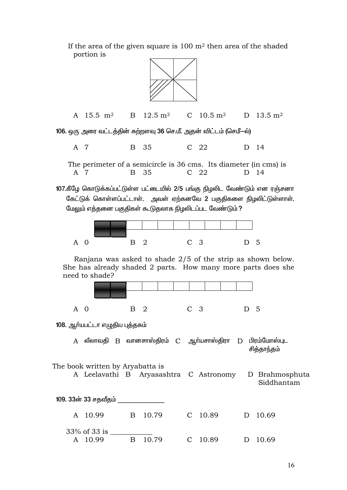If the area of the given square is  $100 \text{ m}^2$  then area of the shaded portion is



A 15.5 m<sup>2</sup>  $12.5 \; \mathrm{m}^2$ C  $10.5 \text{ m}^2$ D  $13.5 \text{ m}^2$  $\mathbf{B}$ 

106. ஒரு அரை வட்டத்தின் சுற்றளவு 36 செ.மீ. அதன் விட்டம் (செமீ–ல்)

A 7  $\mathbf{B}$ 35  $C<sub>22</sub>$  $D$  14

The perimeter of a semicircle is 36 cms. Its diameter (in cms) is A 7 <sub>B</sub> 35  $C$  22 D 14

107.கீழே கொடுக்கப்பட்டுள்ள பட்டையில் 2/5 பங்கு நிழலிட வேண்டும் என ரஞ்சனா கேட்டுக் கொள்ளப்பட்டாள். அவள் ஏற்கனவே 2 பகுதிகளை நிழலிட்டுள்ளாள். மேலும் எத்தனை பகுதிகள் கூடுதலாக நிழலிடப்பட வேண்டும் ?



Ranjana was asked to shade 2/5 of the strip as shown below. She has already shaded 2 parts. How many more parts does she need to shade?



108. ஆர்யபட்டா எழுதிய புத்தகம்

A லீலாவதி B வானசாஸ்திரம் C ஆர்யசாஸ்திரா D பிரம்மோஸ்புட சிக்காந்கம்

The book written by Aryabatta is A Leelavathi B Aryasashtra C Astronomy D Brahmosphuta Siddhantam 109. 33ன் 33 சதவீதம்

| A 10.99                    | B 10.79 | C 10.89 | D 10.69 |
|----------------------------|---------|---------|---------|
| $33\%$ of 33 is<br>A 10.99 | B 10.79 | C 10.89 | D 10.69 |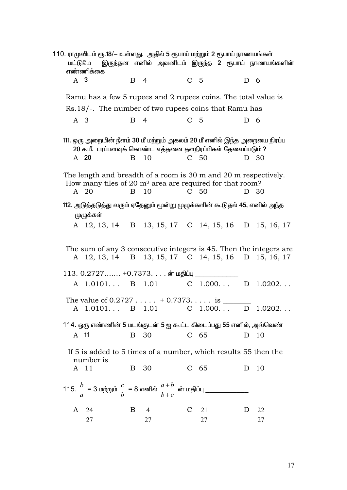| மட்டுமே | 110. ராமுவிடம் ரூ.18/— உள்ளது.  அதில் 5 ரூபாய் மற்றும் 2 ரூபாய் நாணயங்கள்<br>எண்ணிக்கை                                                          |              | இருந்தன எனில் அவனிடம் இருந்த 2 ரூபாய் நாணயங்களின் |                |                      |             |          |
|---------|-------------------------------------------------------------------------------------------------------------------------------------------------|--------------|---------------------------------------------------|----------------|----------------------|-------------|----------|
|         | A 3                                                                                                                                             |              | B 4                                               | C <sub>5</sub> |                      | $D \quad 6$ |          |
|         | Ramu has a few 5 rupees and 2 rupees coins. The total value is                                                                                  |              |                                                   |                |                      |             |          |
|         | Rs.18/-. The number of two rupees coins that Ramu has                                                                                           |              |                                                   |                |                      |             |          |
| A 3     |                                                                                                                                                 | $\mathbf{B}$ | $\overline{4}$                                    | C <sub>5</sub> |                      | D 6         |          |
|         | 111. ஒரு அறையின் நீளம் 30 மீ மற்றும் அகலம் 20 மீ எனில் இந்த அறையை நிரப்ப<br>20 ச.மீ. பரப்பளவுக் கொண்ட எத்தனை தளநிரப்பிகள் தேவைப்படும் ?<br>A 20 | $\mathbf{B}$ | 10                                                |                | C 50                 |             | D 30     |
|         | The length and breadth of a room is 30 m and 20 m respectively.<br>How many tiles of 20 $m2$ area are required for that room?<br>A 20           | $\mathbf{B}$ | 10                                                |                | C <sub>50</sub>      |             | D 30     |
|         | 112. அடுத்தடுத்து வரும் ஏதேனும் மூன்று முழுக்களின் கூடுதல் 45, எனில் அந்த<br>ழுழுக்கள்                                                          |              |                                                   |                |                      |             |          |
|         | A 12, 13, 14 B 13, 15, 17 C 14, 15, 16 D 15, 16, 17                                                                                             |              |                                                   |                |                      |             |          |
|         | The sum of any 3 consecutive integers is 45. Then the integers are                                                                              |              |                                                   |                |                      |             |          |
|         | A 12, 13, 14 B 13, 15, 17 C 14, 15, 16 D 15, 16, 17                                                                                             |              |                                                   |                |                      |             |          |
|         | 113. 0.2727…… +0.7373. ன் மதிப்பு _                                                                                                             |              |                                                   |                |                      |             |          |
|         | A 1.0101 B 1.01                                                                                                                                 |              |                                                   |                | C $1.000$ D $1.0202$ |             |          |
|         | A 1.0101 B 1.01 C 1.000                                                                                                                         |              |                                                   |                |                      |             | D 1.0202 |
|         | 114. ஒரு எண்ணின் 5 மடங்குடன் 5 ஐ கூட்ட கிடைப்பது 55 எனில், அவ்வெண்                                                                              |              |                                                   |                |                      |             |          |
| A 11    |                                                                                                                                                 |              | B 30                                              |                | $C$ 65               |             | D 10     |
|         | If 5 is added to 5 times of a number, which results 55 then the<br>number is                                                                    |              |                                                   |                |                      |             |          |
|         | A 11                                                                                                                                            | $\mathbf{B}$ | 30                                                |                | $C$ 65               | D           | 10       |
|         |                                                                                                                                                 |              |                                                   |                |                      |             |          |
|         | A 24<br>27                                                                                                                                      | $\mathbf{B}$ |                                                   |                | $\frac{21}{27}$      | D           | 22       |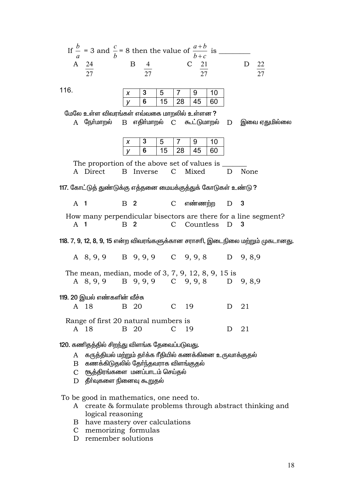|  |  | If $\frac{b}{a}$ = 3 and $\frac{c}{b}$ = 8 then the value of $\frac{a+b}{b+c}$ is |  |  |
|--|--|-----------------------------------------------------------------------------------|--|--|
|  |  |                                                                                   |  |  |
|  |  |                                                                                   |  |  |

116.

|  | $\mathbf b$ | - 28 | 6በ |
|--|-------------|------|----|

மேலே உள்ள விவரங்கள் எவ்வகை மாறலில் உள்ளன ?

 $A$  கூர்மாறல் B எதிர்மாறல் C கூட்டுமாறல்  $\mathbf{D}$ இவை ஏதுமில்லை

|  | h  |    |    |    |
|--|----|----|----|----|
|  | 15 | 28 | 45 | 60 |

The proportion of the above set of values is A Direct B Inverse  $\mathcal{C}$ Mixed D None

117. கோட்டுத் துண்டுக்கு எத்தனை மையக்குத்துக் கோடுகள் உண்டு ?

 $A \t1$  $B<sub>2</sub>$ எண்ணற்ற  $\overline{\mathbf{3}}$  $\mathbf{C}$ D

How many perpendicular bisectors are there for a line segment?  $A$  1 **B** 2  $\mathbf{C}$ Countless  $\Box$  $\mathbf{3}$ 

118. 7, 9, 12, 8, 9, 15 என்ற விவரங்களுக்கான சராசரி, இடைநிலை மற்றும் முகடானது.

A 8, 9, 9 B 9, 9, 9  $C$  9, 9, 8  $D$  9, 8,9

The mean, median, mode of 3, 7, 9, 12, 8, 9, 15 is A 8, 9, 9 B 9, 9, 9 C 9, 9, 8 D 9, 8, 9

119. 20 இயல் எண்களின் வீச்சு

| A 18 | — В 20<br>$\sim$ $\sim$ $\sim$ $\sim$ $\sim$ $\sim$ $\sim$ |  | -1) - 21 |  |
|------|------------------------------------------------------------|--|----------|--|
|      | Range of first 20 natural numbers is                       |  |          |  |

 $B$  20  $21$ A 18  $C<sub>19</sub>$  $\mathbf{D}$ 

120. கணிதத்தில் சிறந்து விளங்க தேவைப்படுவது.

A குருத்தியல் மற்றும் தா்க்க ரீதியில் கணக்கினை உருவாக்குதல்

- கணக்கிடுதலில் தேர்ந்தவராக விளங்குதல்  $\mathbf{B}$
- சூத்திரங்களை மனப்பாடம் செய்தல்  $\mathbf{C}$
- $D$  தீர்வுகளை நினைவு கூறுதல்

To be good in mathematics, one need to.

- A create & formulate problems through abstract thinking and logical reasoning
- B have mastery over calculations
- C memorizing formulas
- D remember solutions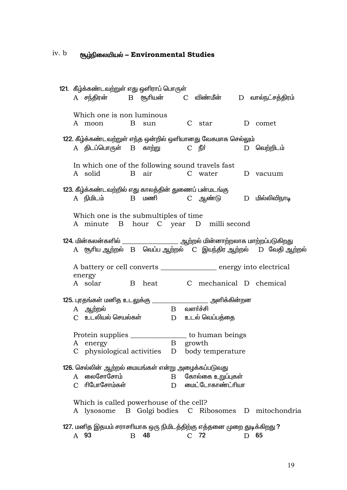### iv. b சூழ்நிலையியல் – Environmental Studies

|                                                                                                                                           | 121. கீழ்க்கண்டவற்றுள் எது ஒளிராப் பொருள்                                                                                     |   |                   |  |                                       |  | $A$ சந்திரன் $B$ சூரியன் $C$ விண்மீன் $D$ வால்நட்சத்திரம் |
|-------------------------------------------------------------------------------------------------------------------------------------------|-------------------------------------------------------------------------------------------------------------------------------|---|-------------------|--|---------------------------------------|--|-----------------------------------------------------------|
|                                                                                                                                           | Which one is non luminous<br>A moon B sun                                                                                     |   |                   |  | C star                                |  | D comet                                                   |
|                                                                                                                                           | 122. கீழ்க்கண்டவற்றுள் எந்த ஒன்றில் ஒளியானது வேகமாக செல்லும்<br>A திடப்பொருள் B காற்று    C நீா்                       காற்று |   |                   |  |                                       |  | D வெற்றிடம்                                               |
|                                                                                                                                           | In which one of the following sound travels fast<br>A solid                                                                   |   |                   |  | B air C water D vacuum                |  |                                                           |
|                                                                                                                                           | 123. கீழ்க்கண்டவற்றில் எது காலத்தின் துணைப் பன்மடங்கு<br>A நிமிடம்      B மணி       C ஆண்டு      D மில்லிவிநாடி               |   |                   |  |                                       |  |                                                           |
|                                                                                                                                           | Which one is the submultiples of time<br>A minute B hour C year D milli second                                                |   |                   |  |                                       |  |                                                           |
|                                                                                                                                           |                                                                                                                               |   |                   |  |                                       |  |                                                           |
|                                                                                                                                           | A battery or cell converts ______________ energy into electrical<br>energy                                                    |   |                   |  |                                       |  |                                                           |
|                                                                                                                                           | A solar B heat C mechanical D chemical                                                                                        |   |                   |  |                                       |  |                                                           |
|                                                                                                                                           | 125. புரதங்கள் மனித உடலுக்கு ________________________ அளிக்கின்றன<br>A ஆற்றல்                                                 |   | $\rm{B}$ வளா்ச்சி |  |                                       |  |                                                           |
| Protein supplies ______________ to human beings<br>$\mathbf{B}$<br>growth<br>A energy<br>C physiological activities D<br>body temperature |                                                                                                                               |   |                   |  |                                       |  |                                                           |
|                                                                                                                                           | 126. செல்லின் ஆற்றல் மையங்கள் என்று அழைக்கப்படுவது<br>A லைசோசோம்<br>C ரிபோசோம்கள்                                             |   | $\mathbf{B}$<br>D |  | கோல்கை உறுப்புகள்<br>மைட்டோகாண்ட்ரியா |  |                                                           |
|                                                                                                                                           | Which is called powerhouse of the cell?                                                                                       |   |                   |  |                                       |  | A lysosome B Golgi bodies C Ribosomes D mitochondria      |
|                                                                                                                                           | 127. மனித இதயம் சராசரியாக ஒரு நிமிடத்திற்கு எத்தனை முறை துடிக்கிறது ?<br>A 93                                                 | B | 48                |  | $C$ 72                                |  | D 65                                                      |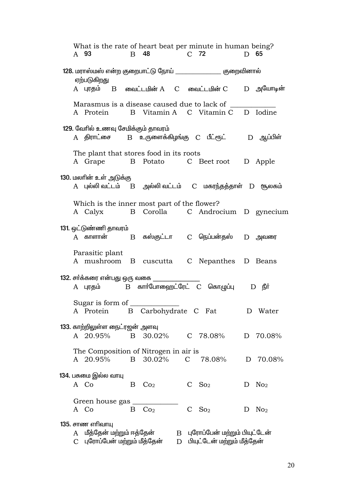What is the rate of heart beat per minute in human being? A 93  $\mathbf{B}$ 48  $C$  72 D 65 எற்படுகிறது  $A$  புரதம்  $B$  வைட்டமின் $A$   $C$  வைட்டமின் $C$  $D$  அயோடின் Marasmus is a disease caused due to lack of B Vitamin A C Vitamin C A Protein D Iodine 129. வேரில் உணவு சேமிக்கும் தாவரம்  $B$  உருளைக்கிழங்கு  $C$  பீட்ரூட் $D$  ஆப்பிள் A கிாாட்சை The plant that stores food in its roots A Grape B Potato C Beet root D Apple 130. மலரின் உள் அடுக்கு  $B$  அல்லி வட்டம்  $C$  மகரந்தத்தாள்  $D$  சூலகம் A புல்லி வட்டம் Which is the inner most part of the flower? A Calvx B Corolla C Androcium D gynecium 131. ஒட்டுண்ணி தாவரம் B கஸ்குட்டா  $A$  காளான் C நெப்பன்தஸ்  $D$  அவரை Parasitic plant A mushroom B cuscutta C Nepanthes D Beans 132. சர்க்கரை என்பது ஒரு வகை B கார்போஹைட்ரேட் C கொழுப்பு A புரதம்  $D$   $\mathbf{f}$ . Sugar is form of B Carbohydrate C Fat A Protein D Water 133. காற்றிலுள்ள நைட்ரஜன் அளவு A 20.95% B 30.02%  $C$  78.08% D 70.08% The Composition of Nitrogen in air is A 20.95% B 30.02% C 78.08% D 70.08% 134. பசுமை இல்ல வாயு  $D$  No<sub>2</sub> A Co  $B$   $Co<sub>2</sub>$  $C$  So<sub>2</sub> Green house gas \_  $C$  So<sub>2</sub>  $D$  No<sub>2</sub> A Co  $B$   $Co<sub>2</sub>$ 135. சாண எரிவாய A மீத்தேன் மற்றும் ஈத்தேன் B புரோப்பேன் மற்றும் பியுட்டேன் C புரோப்பேன் மற்றும் மீத்தேன் D பியுட்டேன் மற்றும் மீத்தேன்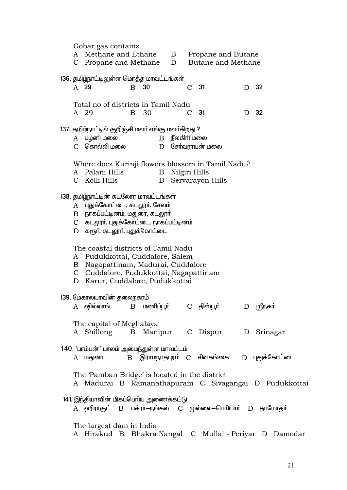Gobar gas contains A Methane and Ethane  $\mathbf{B}$ Propane and Butane C Propane and Methane D Butane and Methane 136. தமிழ்நாட்டிலுள்ள மொத்த மாவட்டங்கள் A 29  $B$  30  $C<sub>31</sub>$ D 32 Total no of districts in Tamil Nadu  $C$  31  $D$  32 A 29 B 30 137. தமிழ்நாட்டில் குறிஞ்சி மலர் எங்கு மலர்கிறது ? A பமனி மலை  $B$  நீலகிரி மலை  $C$  தொல்லி மலை  $D$  சேர்வாாயன் மலை Where does Kurinji flowers blossom in Tamil Nadu? A Palani Hills **B** Nilgiri Hills C Kolli Hills D Servarayon Hills 138. தமிழ்நாட்டின் கடலோர மாவட்டங்கள் A புதுக்கோட்டை, கடலூர், சேலம்  $\bf{B}$  நாகப்பட்டினம், மதுரை, கடலார் C கடலூர், புதுக்கோட்டை, நாகப்பட்டினம் D கரூர், கடலூர், புதுக்கோட்டை The coastal districts of Tamil Nadu A Pudukkottai, Cuddalore, Salem B Nagapattinam, Madurai, Cuddalore C Cuddalore, Pudukkottai, Nagapattinam D Karur, Cuddalore, Pudukkottai 139. மேகாலயாவின் தலைநகரம்  $A$   $\Omega$ லில்லாங்  $B$  மணிப்பூர் C திஸ்பூர் D ஸ்ரீநகர் The capital of Meghalaya A Shillong **B** Manipur C Dispur D Srinagar 140. 'பாம்பன்' பாலம் அமைந்துள்ள மாவட்டம்  $B$  இராமநாதபுரம்  $C$  சிவகங்கை D புதுக்கோட்டை A மதுரை The 'Pamban Bridge' is located in the district A Madurai B Ramanathapuram C Sivagangai D Pudukkottai 141. இந்தியாவின் மிகப்பெரிய அணைக்கட்டு A ஹிராகுட் B பக்ரா-நங்கல் C முல்லை–பெரியாா் D தாமோதா் The largest dam in India A Hirakud B Bhakra Nangal C Mullai - Periyar D Damodar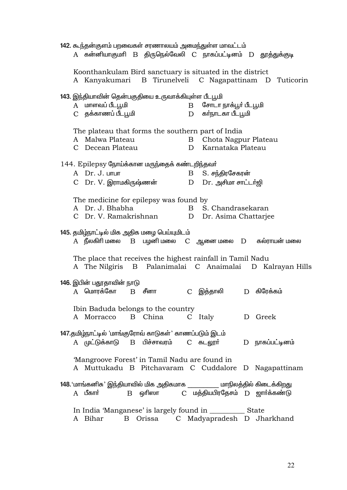|              | 142. கூந்தன்குளம் பறவைகள் சரணாலயம் அமைந்துள்ள மாவட்டம்<br>கன்னியாகுமாி B திருநெல்வேலி C நாகப்பட்டினம் D தூத்துக்குடி |                |         |               |                                               |   |                                                           |  |
|--------------|----------------------------------------------------------------------------------------------------------------------|----------------|---------|---------------|-----------------------------------------------|---|-----------------------------------------------------------|--|
|              | Koonthankulam Bird sanctuary is situated in the district                                                             |                |         |               |                                               |   | A Kanyakumari B Tirunelveli C Nagapattinam D Tuticorin    |  |
|              | 143. இந்தியாவின் தென்பகுதியை உருவாக்கியுள்ள பீடபூமி<br>A மாளவப் பீடபூமி<br>C தக்காணப் பீடபூமி                        |                |         | B<br>D        | சோடா நாக்பூர் பீடபூமி<br>கா்நாடகா பீடபூமி     |   |                                                           |  |
|              | The plateau that forms the southern part of India<br>A Malwa Plateau<br>C Decean Plateau                             |                |         | B<br>D        | Chota Nagpur Plateau<br>Karnataka Plateau     |   |                                                           |  |
|              | 144. Epilepsy நோய்க்கான மருந்தைக் கண்டறிந்தவர்<br>A Dr. J. LITLIT<br>C Dr.V.இராமகிருஷ்ணன்                            |                |         | $\mathbf{B}$  | S. சந்திரசேகரன்<br>D Dr. அசிமா சாட்டர்ஜி      |   |                                                           |  |
|              | The medicine for epilepsy was found by<br>A Dr. J. Bhabha<br>C Dr. V. Ramakrishnan                                   |                |         |               | B S. Chandrasekaran<br>D Dr. Asima Chattarjee |   |                                                           |  |
|              | 145. தமிழ்நாட்டில் மிக அதிக மழை பெய்யுமிடம்<br>$\tt A$ நீலகிரி மலை $\tt B$ பழனி மலை $\tt C$ ஆனை மலை $\tt D$          |                |         |               |                                               |   | கல்ராயன் மலை                                              |  |
|              | The place that receives the highest rainfall in Tamil Nadu                                                           |                |         |               |                                               |   | A The Nilgiris B Palanimalai C Anaimalai D Kalrayan Hills |  |
| $\mathsf{A}$ | 146. இபின் பதூதாவின் நாடு<br>மொரக்கோ                                                                                 | $\overline{B}$ | சீனா    | $\mathcal{C}$ | இத்தாலி                                       | D | கிரேக்கம்                                                 |  |
|              | Ibin Baduda belongs to the country<br>A Morracco                                                                     |                | B China |               | C Italy                                       |   | D Greek                                                   |  |
|              | 147.தமிழ்நாட்டில் 'மாங்குரோவ் காடுகள்' காணப்படும் இடம்<br>A முட்டுக்காடு B பிச்சாவரம்  C கடலூா்                      |                |         |               |                                               |   | D நாகப்பட்டினம்                                           |  |
|              | 'Mangroove Forest' in Tamil Nadu are found in                                                                        |                |         |               |                                               |   | A Muttukadu B Pitchavaram C Cuddalore D Nagapattinam      |  |
|              | 148. 'மாங்கனிசு' இந்தியாவில் மிக அதிகமாக ____________ மாநிலத்தில் கிடைக்கிறது<br>$A$ பீகார்                          | $\mathbf{B}$   |         |               | ஒரிஸா C மத்தியபிரதேசம் D ஜார்க்கண்டு          |   |                                                           |  |
|              | In India 'Manganese' is largely found in ______________ State<br>A Bihar                                             | $\mathbf{B}$   | Orissa  |               |                                               |   | C Madyapradesh D Jharkhand                                |  |